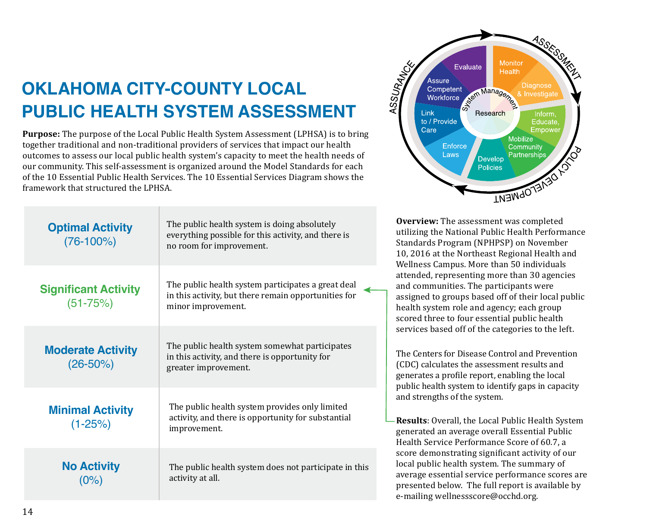## **OKLAHOMA CITY-COUNTY LOCAL PUBLIC HEALTH SYSTEM ASSESSMENT**

**Purpose:** The purpose of the Local Public Health System Assessment (LPHSA) is to bring together traditional and non-traditional providers of services that impact our health outcomes to assess our local public health system's capacity to meet the health needs of our community. This self-assessment is organized around the Model Standards for each of the 10 Essential Public Health Services. The 10 Essential Services Diagram shows the framework that structured the LPHSA.

| <b>Optimal Activity</b><br>$(76-100%)$      | The public health system is doing absolutely<br>everything possible for this activity, and there is<br>no room for improvement.  |
|---------------------------------------------|----------------------------------------------------------------------------------------------------------------------------------|
| <b>Significant Activity</b><br>$(51 - 75%)$ | The public health system participates a great deal<br>in this activity, but there remain opportunities for<br>minor improvement. |
| <b>Moderate Activity</b><br>$(26 - 50\%)$   | The public health system somewhat participates<br>in this activity, and there is opportunity for<br>greater improvement.         |
| <b>Minimal Activity</b><br>$(1 - 25%)$      | The public health system provides only limited<br>activity, and there is opportunity for substantial<br>improvement.             |
| <b>No Activity</b><br>(0%)                  | The public health system does not participate in this<br>activity at all.                                                        |



**Overview:** The assessment was completed utilizing the National Public Health Performance Standards Program (NPHPSP) on November 10, 2016 at the Northeast Regional Health and Wellness Campus. More than 50 individuals attended, representing more than 30 agencies and communities. The participants were assigned to groups based off of their local public health system role and agency; each group scored three to four essential public health services based off of the categories to the left.

The Centers for Disease Control and Prevention (CDC) calculates the assessment results and generates a profile report, enabling the local public health system to identify gaps in capacity and strengths of the system.

**Results**: Overall, the Local Public Health System generated an average overall Essential Public Health Service Performance Score of 60.7, a score demonstrating significant activity of our local public health system. The summary of average essential service performance scores are presented below. The full report is available by e-mailing wellnessscore@occhd.org.